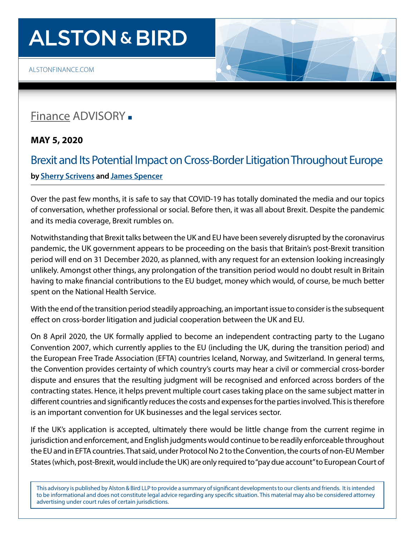## **ALSTON & BIRD**

[ALSTONFINANCE.COM](http://alstonfinance.com)

## [Finance](http://www.alston.com/services/corporate-finance/finance/) ADVISORY -

**MAY 5, 2020** 

## Brexit and Its Potential Impact on Cross-Border Litigation Throughout Europe **by [Sherry Scrivens](https://www.alston.com/en/professionals/s/scrivens-sherry) and [James Spencer](https://www.alston.com/en/professionals/s/spencer-james)**

Over the past few months, it is safe to say that COVID-19 has totally dominated the media and our topics of conversation, whether professional or social. Before then, it was all about Brexit. Despite the pandemic and its media coverage, Brexit rumbles on.

Notwithstanding that Brexit talks between the UK and EU have been severely disrupted by the coronavirus pandemic, the UK government appears to be proceeding on the basis that Britain's post-Brexit transition period will end on 31 December 2020, as planned, with any request for an extension looking increasingly unlikely. Amongst other things, any prolongation of the transition period would no doubt result in Britain having to make financial contributions to the EU budget, money which would, of course, be much better spent on the National Health Service.

With the end of the transition period steadily approaching, an important issue to consider is the subsequent effect on cross-border litigation and judicial cooperation between the UK and EU.

On 8 April 2020, the UK formally applied to become an independent contracting party to the Lugano Convention 2007, which currently applies to the EU (including the UK, during the transition period) and the European Free Trade Association (EFTA) countries Iceland, Norway, and Switzerland. In general terms, the Convention provides certainty of which country's courts may hear a civil or commercial cross-border dispute and ensures that the resulting judgment will be recognised and enforced across borders of the contracting states. Hence, it helps prevent multiple court cases taking place on the same subject matter in different countries and significantly reduces the costs and expenses for the parties involved. This is therefore is an important convention for UK businesses and the legal services sector.

If the UK's application is accepted, ultimately there would be little change from the current regime in jurisdiction and enforcement, and English judgments would continue to be readily enforceable throughout the EU and in EFTA countries. That said, under Protocol No 2 to the Convention, the courts of non-EU Member States (which, post-Brexit, would include the UK) are only required to "pay due account" to European Court of

This advisory is published by Alston & Bird LLP to provide a summary of significant developments to our clients and friends. It is intended to be informational and does not constitute legal advice regarding any specific situation. This material may also be considered attorney advertising under court rules of certain jurisdictions.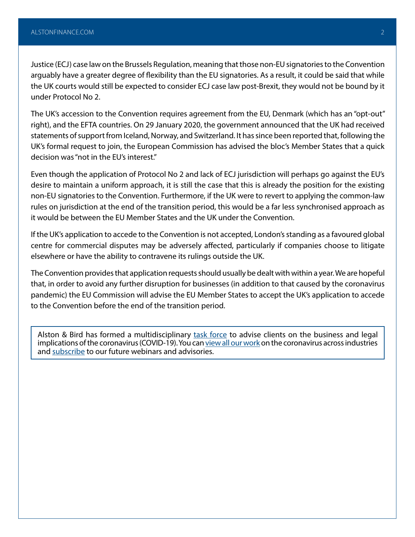Justice (ECJ) case law on the Brussels Regulation, meaning that those non-EU signatories to the Convention arguably have a greater degree of flexibility than the EU signatories. As a result, it could be said that while the UK courts would still be expected to consider ECJ case law post-Brexit, they would not be bound by it under Protocol No 2.

The UK's accession to the Convention requires agreement from the EU, Denmark (which has an "opt-out" right), and the EFTA countries. On 29 January 2020, the government announced that the UK had received statements of support from Iceland, Norway, and Switzerland. It has since been reported that, following the UK's formal request to join, the European Commission has advised the bloc's Member States that a quick decision was "not in the EU's interest."

Even though the application of Protocol No 2 and lack of ECJ jurisdiction will perhaps go against the EU's desire to maintain a uniform approach, it is still the case that this is already the position for the existing non-EU signatories to the Convention. Furthermore, if the UK were to revert to applying the common-law rules on jurisdiction at the end of the transition period, this would be a far less synchronised approach as it would be between the EU Member States and the UK under the Convention.

If the UK's application to accede to the Convention is not accepted, London's standing as a favoured global centre for commercial disputes may be adversely affected, particularly if companies choose to litigate elsewhere or have the ability to contravene its rulings outside the UK.

The Convention provides that application requests should usually be dealt with within a year. We are hopeful that, in order to avoid any further disruption for businesses (in addition to that caused by the coronavirus pandemic) the EU Commission will advise the EU Member States to accept the UK's application to accede to the Convention before the end of the transition period.

Alston & Bird has formed a multidisciplinary [task force](https://www.alston.com/en/resources/coronavirus/overview) to advise clients on the business and legal implications of the coronavirus (COVID-19). You can [view all our work](https://www.alston.com/en/insights/?keyword=Coronavirus&reload=false&scroll=499.7685546875) on the coronavirus across industries and [subscribe](https://www.alston.com/en/resources/subscriptions-form) to our future webinars and advisories.